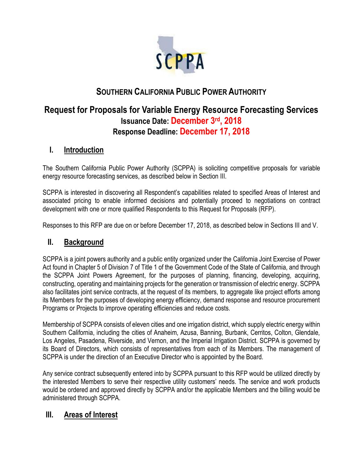

# **SOUTHERN CALIFORNIA PUBLIC POWER AUTHORITY**

# **Request for Proposals for Variable Energy Resource Forecasting Services Issuance Date: December 3rd, 2018 Response Deadline: December 17, 2018**

## **I. Introduction**

The Southern California Public Power Authority (SCPPA) is soliciting competitive proposals for variable energy resource forecasting services, as described below in Section III.

SCPPA is interested in discovering all Respondent's capabilities related to specified Areas of Interest and associated pricing to enable informed decisions and potentially proceed to negotiations on contract development with one or more qualified Respondents to this Request for Proposals (RFP).

Responses to this RFP are due on or before December 17, 2018, as described below in Sections III and V.

### **II. Background**

SCPPA is a joint powers authority and a public entity organized under the California Joint Exercise of Power Act found in Chapter 5 of Division 7 of Title 1 of the Government Code of the State of California, and through the SCPPA Joint Powers Agreement, for the purposes of planning, financing, developing, acquiring, constructing, operating and maintaining projects for the generation or transmission of electric energy. SCPPA also facilitates joint service contracts, at the request of its members, to aggregate like project efforts among its Members for the purposes of developing energy efficiency, demand response and resource procurement Programs or Projects to improve operating efficiencies and reduce costs.

Membership of SCPPA consists of eleven cities and one irrigation district, which supply electric energy within Southern California, including the cities of Anaheim, Azusa, Banning, Burbank, Cerritos, Colton, Glendale, Los Angeles, Pasadena, Riverside, and Vernon, and the Imperial Irrigation District. SCPPA is governed by its Board of Directors, which consists of representatives from each of its Members. The management of SCPPA is under the direction of an Executive Director who is appointed by the Board.

Any service contract subsequently entered into by SCPPA pursuant to this RFP would be utilized directly by the interested Members to serve their respective utility customers' needs. The service and work products would be ordered and approved directly by SCPPA and/or the applicable Members and the billing would be administered through SCPPA.

# **III. Areas of Interest**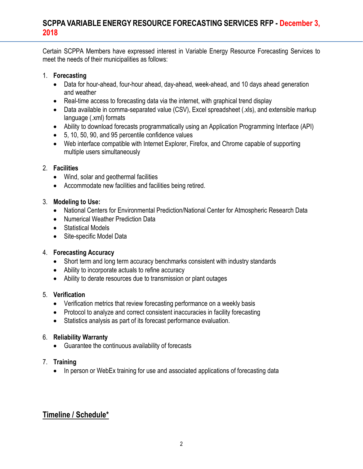Certain SCPPA Members have expressed interest in Variable Energy Resource Forecasting Services to meet the needs of their municipalities as follows:

#### 1. **Forecasting**

- Data for hour-ahead, four-hour ahead, day-ahead, week-ahead, and 10 days ahead generation and weather
- Real-time access to forecasting data via the internet, with graphical trend display
- Data available in comma-separated value (CSV), Excel spreadsheet (.xls), and extensible markup language (.xml) formats
- Ability to download forecasts programmatically using an Application Programming Interface (API)
- 5, 10, 50, 90, and 95 percentile confidence values
- Web interface compatible with Internet Explorer, Firefox, and Chrome capable of supporting multiple users simultaneously

#### 2. **Facilities**

- Wind, solar and geothermal facilities
- Accommodate new facilities and facilities being retired.

### 3. **Modeling to Use:**

- National Centers for Environmental Prediction/National Center for Atmospheric Research Data
- Numerical Weather Prediction Data
- Statistical Models
- Site-specific Model Data

### 4. **Forecasting Accuracy**

- Short term and long term accuracy benchmarks consistent with industry standards
- Ability to incorporate actuals to refine accuracy
- Ability to derate resources due to transmission or plant outages

### 5. **Verification**

- Verification metrics that review forecasting performance on a weekly basis
- Protocol to analyze and correct consistent inaccuracies in facility forecasting
- Statistics analysis as part of its forecast performance evaluation.

### 6. **Reliability Warranty**

• Guarantee the continuous availability of forecasts

### 7. **Training**

• In person or WebEx training for use and associated applications of forecasting data

# **Timeline / Schedule\***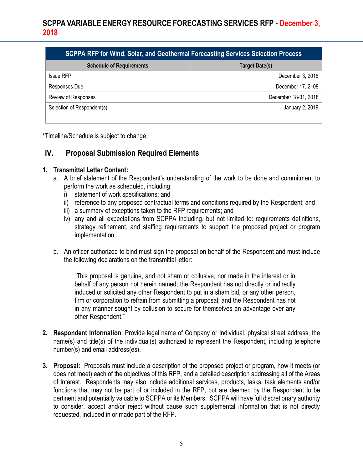| SCPPA RFP for Wind, Solar, and Geothermal Forecasting Services Selection Process |                       |
|----------------------------------------------------------------------------------|-----------------------|
| <b>Schedule of Requirements</b>                                                  | <b>Target Date(s)</b> |
| <b>Issue RFP</b>                                                                 | December 3, 2018      |
| Responses Due                                                                    | December 17, 2108     |
| Review of Responses                                                              | December 18-31, 2018  |
| Selection of Respondent(s)                                                       | January 2, 2019       |
|                                                                                  |                       |

**\***Timeline/Schedule is subject to change.

## **IV. Proposal Submission Required Elements**

#### **1. Transmittal Letter Content:**

- a. A brief statement of the Respondent's understanding of the work to be done and commitment to perform the work as scheduled, including:
	- i) statement of work specifications; and
	- ii) reference to any proposed contractual terms and conditions required by the Respondent; and
	- iii) a summary of exceptions taken to the RFP requirements; and
	- iv) any and all expectations from SCPPA including, but not limited to: requirements definitions, strategy refinement, and staffing requirements to support the proposed project or program implementation.
- b. An officer authorized to bind must sign the proposal on behalf of the Respondent and must include the following declarations on the transmittal letter:

"This proposal is genuine, and not sham or collusive, nor made in the interest or in behalf of any person not herein named; the Respondent has not directly or indirectly induced or solicited any other Respondent to put in a sham bid, or any other person, firm or corporation to refrain from submitting a proposal; and the Respondent has not in any manner sought by collusion to secure for themselves an advantage over any other Respondent."

- **2. Respondent Information**: Provide legal name of Company or Individual, physical street address, the name(s) and title(s) of the individual(s) authorized to represent the Respondent, including telephone number(s) and email address(es).
- **3. Proposal:** Proposals must include a description of the proposed project or program, how it meets (or does not meet) each of the objectives of this RFP, and a detailed description addressing all of the Areas of Interest. Respondents may also include additional services, products, tasks, task elements and/or functions that may not be part of or included in the RFP, but are deemed by the Respondent to be pertinent and potentially valuable to SCPPA or its Members. SCPPA will have full discretionary authority to consider, accept and/or reject without cause such supplemental information that is not directly requested, included in or made part of the RFP.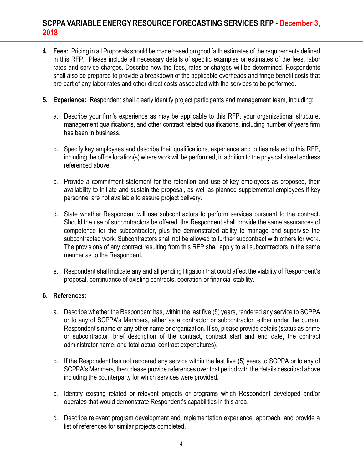- **4. Fees:** Pricing in all Proposals should be made based on good faith estimates of the requirements defined in this RFP. Please include all necessary details of specific examples or estimates of the fees, labor rates and service charges. Describe how the fees, rates or charges will be determined. Respondents shall also be prepared to provide a breakdown of the applicable overheads and fringe benefit costs that are part of any labor rates and other direct costs associated with the services to be performed.
- **5. Experience:** Respondent shall clearly identify project participants and management team, including:
	- a. Describe your firm's experience as may be applicable to this RFP, your organizational structure, management qualifications, and other contract related qualifications, including number of years firm has been in business.
	- b. Specify key employees and describe their qualifications, experience and duties related to this RFP, including the office location(s) where work will be performed, in addition to the physical street address referenced above.
	- c. Provide a commitment statement for the retention and use of key employees as proposed, their availability to initiate and sustain the proposal, as well as planned supplemental employees if key personnel are not available to assure project delivery.
	- d. State whether Respondent will use subcontractors to perform services pursuant to the contract. Should the use of subcontractors be offered, the Respondent shall provide the same assurances of competence for the subcontractor, plus the demonstrated ability to manage and supervise the subcontracted work. Subcontractors shall not be allowed to further subcontract with others for work. The provisions of any contract resulting from this RFP shall apply to all subcontractors in the same manner as to the Respondent.
	- e. Respondent shall indicate any and all pending litigation that could affect the viability of Respondent's proposal, continuance of existing contracts, operation or financial stability.

### **6. References:**

- a. Describe whether the Respondent has, within the last five (5) years, rendered any service to SCPPA or to any of SCPPA's Members, either as a contractor or subcontractor, either under the current Respondent's name or any other name or organization. If so, please provide details (status as prime or subcontractor, brief description of the contract, contract start and end date, the contract administrator name, and total actual contract expenditures).
- b. If the Respondent has not rendered any service within the last five (5) years to SCPPA or to any of SCPPA's Members, then please provide references over that period with the details described above including the counterparty for which services were provided.
- c. Identify existing related or relevant projects or programs which Respondent developed and/or operates that would demonstrate Respondent's capabilities in this area.
- d. Describe relevant program development and implementation experience, approach, and provide a list of references for similar projects completed.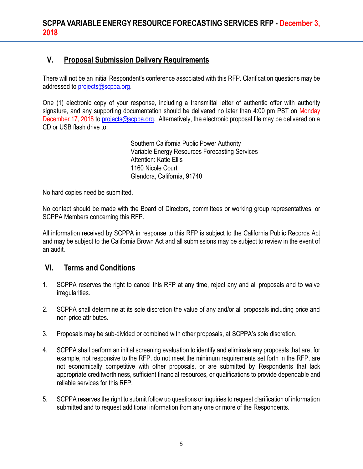# **V. Proposal Submission Delivery Requirements**

There will not be an initial Respondent's conference associated with this RFP. Clarification questions may be addressed to [projects@scppa.org.](mailto:projects@scppa.org)

One (1) electronic copy of your response, including a transmittal letter of authentic offer with authority signature, and any supporting documentation should be delivered no later than 4:00 pm PST on Monday December 17, 2018 to [projects@scppa.org.](mailto:projects@scppa.org) Alternatively, the electronic proposal file may be delivered on a CD or USB flash drive to:

> Southern California Public Power Authority Variable Energy Resources Forecasting Services Attention: Katie Ellis 1160 Nicole Court Glendora, California, 91740

No hard copies need be submitted.

No contact should be made with the Board of Directors, committees or working group representatives, or SCPPA Members concerning this RFP.

All information received by SCPPA in response to this RFP is subject to the California Public Records Act and may be subject to the California Brown Act and all submissions may be subject to review in the event of an audit.

# **VI. Terms and Conditions**

- 1. SCPPA reserves the right to cancel this RFP at any time, reject any and all proposals and to waive irregularities.
- 2. SCPPA shall determine at its sole discretion the value of any and/or all proposals including price and non-price attributes.
- 3. Proposals may be sub-divided or combined with other proposals, at SCPPA's sole discretion.
- 4. SCPPA shall perform an initial screening evaluation to identify and eliminate any proposals that are, for example, not responsive to the RFP, do not meet the minimum requirements set forth in the RFP, are not economically competitive with other proposals, or are submitted by Respondents that lack appropriate creditworthiness, sufficient financial resources, or qualifications to provide dependable and reliable services for this RFP.
- 5. SCPPA reserves the right to submit follow up questions or inquiries to request clarification of information submitted and to request additional information from any one or more of the Respondents.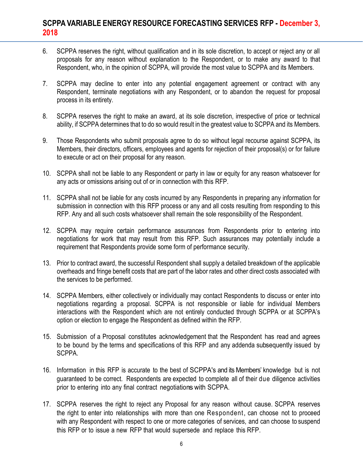- 6. SCPPA reserves the right, without qualification and in its sole discretion, to accept or reject any or all proposals for any reason without explanation to the Respondent, or to make any award to that Respondent, who, in the opinion of SCPPA, will provide the most value to SCPPA and its Members.
- 7. SCPPA may decline to enter into any potential engagement agreement or contract with any Respondent, terminate negotiations with any Respondent, or to abandon the request for proposal process in its entirety.
- 8. SCPPA reserves the right to make an award, at its sole discretion, irrespective of price or technical ability, if SCPPA determines that to do so would result in the greatest value to SCPPA and its Members.
- 9. Those Respondents who submit proposals agree to do so without legal recourse against SCPPA, its Members, their directors, officers, employees and agents for rejection of their proposal(s) or for failure to execute or act on their proposal for any reason.
- 10. SCPPA shall not be liable to any Respondent or party in law or equity for any reason whatsoever for any acts or omissions arising out of or in connection with this RFP.
- 11. SCPPA shall not be liable for any costs incurred by any Respondents in preparing any information for submission in connection with this RFP process or any and all costs resulting from responding to this RFP. Any and all such costs whatsoever shall remain the sole responsibility of the Respondent.
- 12. SCPPA may require certain performance assurances from Respondents prior to entering into negotiations for work that may result from this RFP. Such assurances may potentially include a requirement that Respondents provide some form of performance security.
- 13. Prior to contract award, the successful Respondent shall supply a detailed breakdown of the applicable overheads and fringe benefit costs that are part of the labor rates and other direct costs associated with the services to be performed.
- 14. SCPPA Members, either collectively or individually may contact Respondents to discuss or enter into negotiations regarding a proposal. SCPPA is not responsible or liable for individual Members interactions with the Respondent which are not entirely conducted through SCPPA or at SCPPA's option or election to engage the Respondent as defined within the RFP.
- 15. Submission of a Proposal constitutes acknowledgement that the Respondent has read and agrees to be bound by the terms and specifications of this RFP and any addenda subsequently issued by SCPPA.
- 16. Information in this RFP is accurate to the best of SCPPA's and its Members' knowledge but is not guaranteed to be correct. Respondents are expected to complete all of their due diligence activities prior to entering into any final contract negotiations with SCPPA.
- 17. SCPPA reserves the right to reject any Proposal for any reason without cause. SCPPA reserves the right to enter into relationships with more than one Respondent, can choose not to proceed with any Respondent with respect to one or more categories of services, and can choose to suspend this RFP or to issue a new RFP that would supersede and replace this RFP.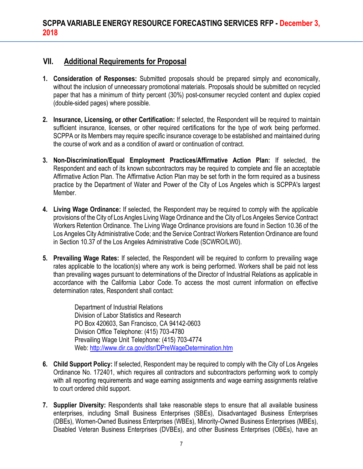## **VII. Additional Requirements for Proposal**

- **1. Consideration of Responses:** Submitted proposals should be prepared simply and economically, without the inclusion of unnecessary promotional materials. Proposals should be submitted on recycled paper that has a minimum of thirty percent (30%) post-consumer recycled content and duplex copied (double-sided pages) where possible.
- **2. Insurance, Licensing, or other Certification:** If selected, the Respondent will be required to maintain sufficient insurance, licenses, or other required certifications for the type of work being performed. SCPPA or its Members may require specific insurance coverage to be established and maintained during the course of work and as a condition of award or continuation of contract.
- **3. Non-Discrimination/Equal Employment Practices/Affirmative Action Plan:** If selected, the Respondent and each of its known subcontractors may be required to complete and file an acceptable Affirmative Action Plan. The Affirmative Action Plan may be set forth in the form required as a business practice by the Department of Water and Power of the City of Los Angeles which is SCPPA's largest Member.
- **4. Living Wage Ordinance:** If selected, the Respondent may be required to comply with the applicable provisions of the City of Los Angles Living Wage Ordinance and the City of Los Angeles Service Contract Workers Retention Ordinance. The Living Wage Ordinance provisions are found in Section 10.36 of the Los Angeles City Administrative Code; and the Service Contract Workers Retention Ordinance are found in Section 10.37 of the Los Angeles Administrative Code (SCWRO/LW0).
- **5. Prevailing Wage Rates:** If selected, the Respondent will be required to conform to prevailing wage rates applicable to the location(s) where any work is being performed. Workers shall be paid not less than prevailing wages pursuant to determinations of the Director of Industrial Relations as applicable in accordance with the California Labor Code. To access the most current information on effective determination rates, Respondent shall contact:

Department of Industrial Relations Division of Labor Statistics and Research PO Box 420603, San Francisco, CA 94142-0603 Division Office Telephone: (415) 703-4780 Prevailing Wage Unit Telephone: (415) 703-4774 Web[: http://www.dir.ca.gov/dlsr/DPreWageDetermination.htm](http://www.dir.ca.gov/dlsr/DPreWageDetermination.htm)

- **6. Child Support Policy:** If selected, Respondent may be required to comply with the City of Los Angeles Ordinance No. 172401, which requires all contractors and subcontractors performing work to comply with all reporting requirements and wage earning assignments and wage earning assignments relative to court ordered child support.
- **7. Supplier Diversity:** Respondents shall take reasonable steps to ensure that all available business enterprises, including Small Business Enterprises (SBEs), Disadvantaged Business Enterprises (DBEs), Women-Owned Business Enterprises (WBEs), Minority-Owned Business Enterprises (MBEs), Disabled Veteran Business Enterprises (DVBEs), and other Business Enterprises (OBEs), have an